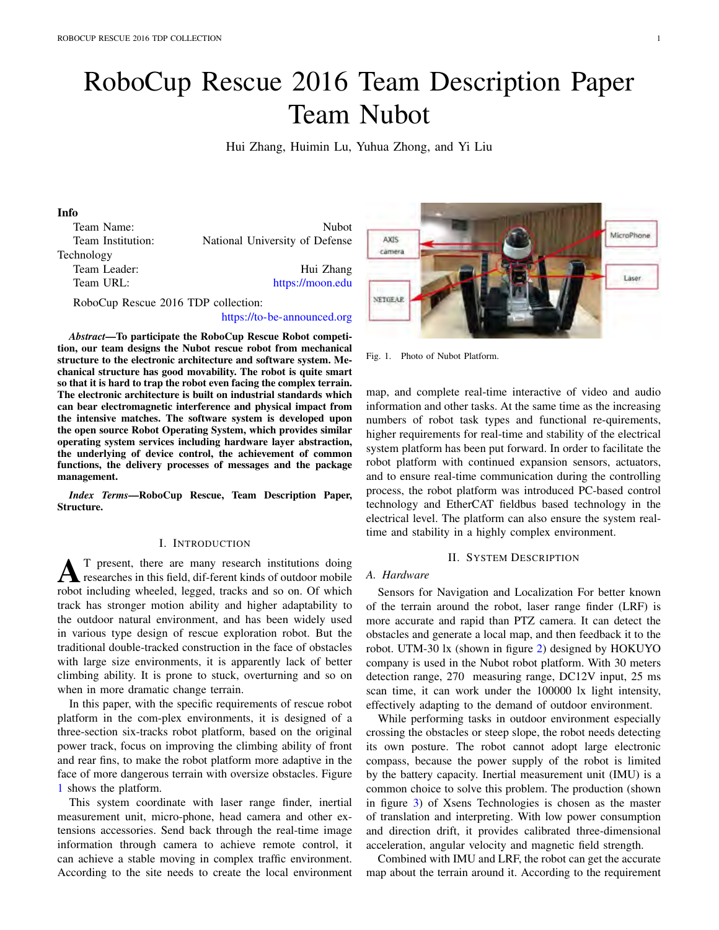# RoboCup Rescue 2016 Team Description Paper Team Nubot

Hui Zhang, Huimin Lu, Yuhua Zhong, and Yi Liu

# Info

| Team Name:        | <b>Nubot</b>                   |
|-------------------|--------------------------------|
| Team Institution: | National University of Defense |
| Technology        |                                |
| Team Leader:      | Hui Zhang                      |
| Team URL:         | https://moon.edu               |
|                   |                                |

RoboCup Rescue 2016 TDP collection:

#### https://to-be-announced.org

*Abstract*—To participate the RoboCup Rescue Robot competition, our team designs the Nubot rescue robot from mechanical structure to the electronic architecture and software system. Mechanical structure has good movability. The robot is quite smart so that it is hard to trap the robot even facing the complex terrain. The electronic architecture is built on industrial standards which can bear electromagnetic interference and physical impact from the intensive matches. The software system is developed upon the open source Robot Operating System, which provides similar operating system services including hardware layer abstraction, the underlying of device control, the achievement of common functions, the delivery processes of messages and the package management.

*Index Terms*—RoboCup Rescue, Team Description Paper, Structure.

#### I. INTRODUCTION

**AT** present, there are many research institutions doing<br>researches in this field, dif-ferent kinds of outdoor mobile<br>research including wheeled, logged treats and so on Of which robot including wheeled, legged, tracks and so on. Of which track has stronger motion ability and higher adaptability to the outdoor natural environment, and has been widely used in various type design of rescue exploration robot. But the traditional double-tracked construction in the face of obstacles with large size environments, it is apparently lack of better climbing ability. It is prone to stuck, overturning and so on when in more dramatic change terrain.

In this paper, with the specific requirements of rescue robot platform in the com-plex environments, it is designed of a three-section six-tracks robot platform, based on the original power track, focus on improving the climbing ability of front and rear fins, to make the robot platform more adaptive in the face of more dangerous terrain with oversize obstacles. Figure 1 shows the platform.

This system coordinate with laser range finder, inertial measurement unit, micro-phone, head camera and other extensions accessories. Send back through the real-time image information through camera to achieve remote control, it can achieve a stable moving in complex traffic environment. According to the site needs to create the local environment



Fig. 1. Photo of Nubot Platform.

map, and complete real-time interactive of video and audio information and other tasks. At the same time as the increasing numbers of robot task types and functional re-quirements, higher requirements for real-time and stability of the electrical system platform has been put forward. In order to facilitate the robot platform with continued expansion sensors, actuators, and to ensure real-time communication during the controlling process, the robot platform was introduced PC-based control technology and EtherCAT fieldbus based technology in the electrical level. The platform can also ensure the system realtime and stability in a highly complex environment.

#### II. SYSTEM DESCRIPTION

#### *A. Hardware*

Sensors for Navigation and Localization For better known of the terrain around the robot, laser range finder (LRF) is more accurate and rapid than PTZ camera. It can detect the obstacles and generate a local map, and then feedback it to the robot. UTM-30 lx (shown in figure 2) designed by HOKUYO company is used in the Nubot robot platform. With 30 meters detection range, 270 measuring range, DC12V input, 25 ms scan time, it can work under the 100000 lx light intensity, effectively adapting to the demand of outdoor environment.

While performing tasks in outdoor environment especially crossing the obstacles or steep slope, the robot needs detecting its own posture. The robot cannot adopt large electronic compass, because the power supply of the robot is limited by the battery capacity. Inertial measurement unit (IMU) is a common choice to solve this problem. The production (shown in figure 3) of Xsens Technologies is chosen as the master of translation and interpreting. With low power consumption and direction drift, it provides calibrated three-dimensional acceleration, angular velocity and magnetic field strength.

Combined with IMU and LRF, the robot can get the accurate map about the terrain around it. According to the requirement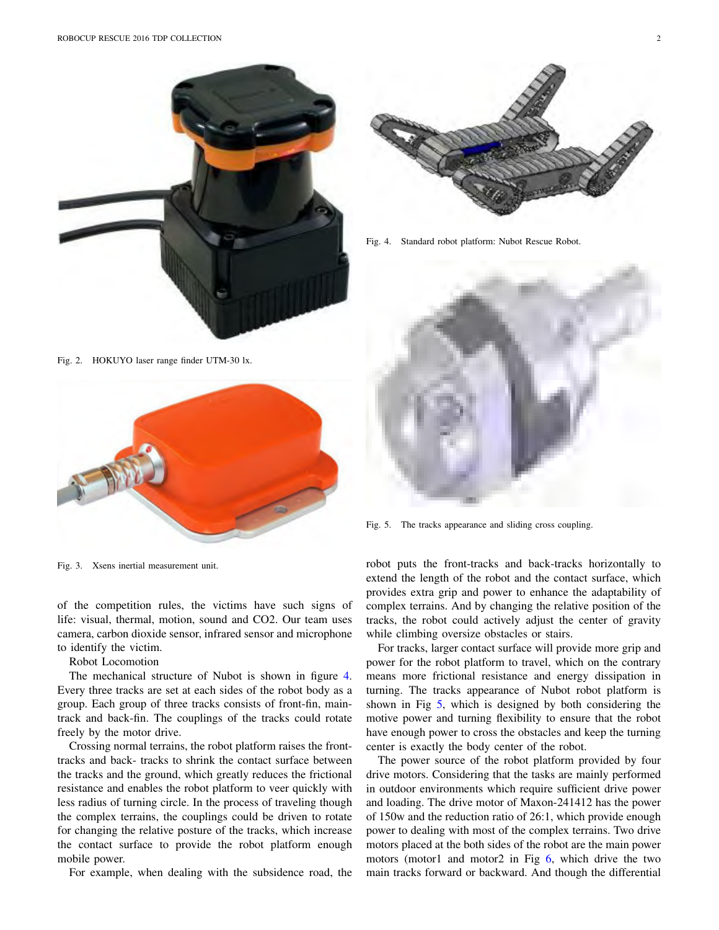

Fig. 2. HOKUYO laser range finder UTM-30 lx.



Fig. 3. Xsens inertial measurement unit.

of the competition rules, the victims have such signs of life: visual, thermal, motion, sound and CO2. Our team uses camera, carbon dioxide sensor, infrared sensor and microphone to identify the victim.

Robot Locomotion

The mechanical structure of Nubot is shown in figure 4. Every three tracks are set at each sides of the robot body as a group. Each group of three tracks consists of front-fin, maintrack and back-fin. The couplings of the tracks could rotate freely by the motor drive.

Crossing normal terrains, the robot platform raises the fronttracks and back- tracks to shrink the contact surface between the tracks and the ground, which greatly reduces the frictional resistance and enables the robot platform to veer quickly with less radius of turning circle. In the process of traveling though the complex terrains, the couplings could be driven to rotate for changing the relative posture of the tracks, which increase the contact surface to provide the robot platform enough mobile power.

For example, when dealing with the subsidence road, the



Fig. 4. Standard robot platform: Nubot Rescue Robot.



Fig. 5. The tracks appearance and sliding cross coupling.

robot puts the front-tracks and back-tracks horizontally to extend the length of the robot and the contact surface, which provides extra grip and power to enhance the adaptability of complex terrains. And by changing the relative position of the tracks, the robot could actively adjust the center of gravity while climbing oversize obstacles or stairs.

For tracks, larger contact surface will provide more grip and power for the robot platform to travel, which on the contrary means more frictional resistance and energy dissipation in turning. The tracks appearance of Nubot robot platform is shown in Fig 5, which is designed by both considering the motive power and turning flexibility to ensure that the robot have enough power to cross the obstacles and keep the turning center is exactly the body center of the robot.

The power source of the robot platform provided by four drive motors. Considering that the tasks are mainly performed in outdoor environments which require sufficient drive power and loading. The drive motor of Maxon-241412 has the power of 150w and the reduction ratio of 26:1, which provide enough power to dealing with most of the complex terrains. Two drive motors placed at the both sides of the robot are the main power motors (motor1 and motor2 in Fig  $6$ , which drive the two main tracks forward or backward. And though the differential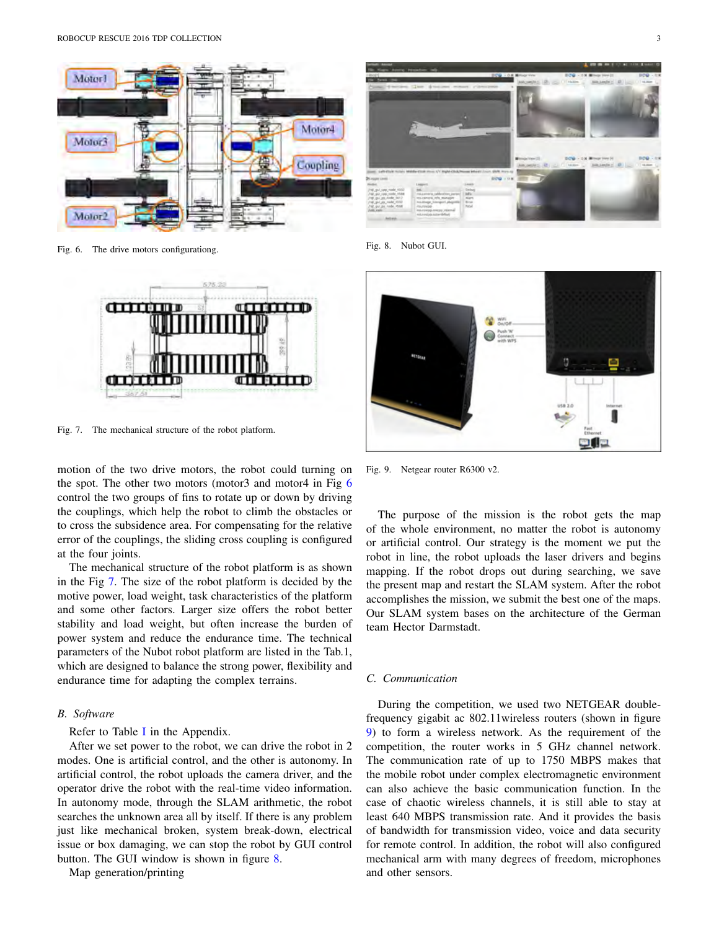

Fig. 6. The drive motors configurationg.



Fig. 7. The mechanical structure of the robot platform.

motion of the two drive motors, the robot could turning on the spot. The other two motors (motor3 and motor4 in Fig 6 control the two groups of fins to rotate up or down by driving the couplings, which help the robot to climb the obstacles or to cross the subsidence area. For compensating for the relative error of the couplings, the sliding cross coupling is configured at the four joints.

The mechanical structure of the robot platform is as shown in the Fig 7. The size of the robot platform is decided by the motive power, load weight, task characteristics of the platform and some other factors. Larger size offers the robot better stability and load weight, but often increase the burden of power system and reduce the endurance time. The technical parameters of the Nubot robot platform are listed in the Tab.1, which are designed to balance the strong power, flexibility and endurance time for adapting the complex terrains.

#### *B. Software*

Refer to Table I in the Appendix.

After we set power to the robot, we can drive the robot in 2 modes. One is artificial control, and the other is autonomy. In artificial control, the robot uploads the camera driver, and the operator drive the robot with the real-time video information. In autonomy mode, through the SLAM arithmetic, the robot searches the unknown area all by itself. If there is any problem just like mechanical broken, system break-down, electrical issue or box damaging, we can stop the robot by GUI control button. The GUI window is shown in figure 8.

Map generation/printing



Fig. 8. Nubot GUI.



Fig. 9. Netgear router R6300 v2.

The purpose of the mission is the robot gets the map of the whole environment, no matter the robot is autonomy or artificial control. Our strategy is the moment we put the robot in line, the robot uploads the laser drivers and begins mapping. If the robot drops out during searching, we save the present map and restart the SLAM system. After the robot accomplishes the mission, we submit the best one of the maps. Our SLAM system bases on the architecture of the German team Hector Darmstadt.

#### *C. Communication*

During the competition, we used two NETGEAR doublefrequency gigabit ac 802.11wireless routers (shown in figure 9) to form a wireless network. As the requirement of the competition, the router works in 5 GHz channel network. The communication rate of up to 1750 MBPS makes that the mobile robot under complex electromagnetic environment can also achieve the basic communication function. In the case of chaotic wireless channels, it is still able to stay at least 640 MBPS transmission rate. And it provides the basis of bandwidth for transmission video, voice and data security for remote control. In addition, the robot will also configured mechanical arm with many degrees of freedom, microphones and other sensors.